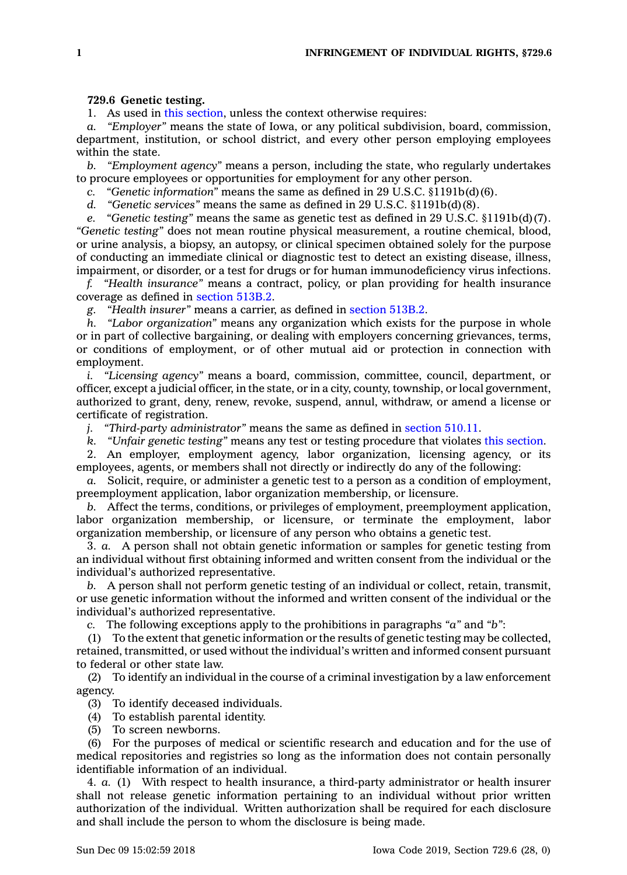## **729.6 Genetic testing.**

1. As used in this [section](https://www.legis.iowa.gov/docs/code/729.6.pdf), unless the context otherwise requires:

*a. "Employer"* means the state of Iowa, or any political subdivision, board, commission, department, institution, or school district, and every other person employing employees within the state.

*b. "Employment agency"* means <sup>a</sup> person, including the state, who regularly undertakes to procure employees or opportunities for employment for any other person.

*c. "Genetic information"* means the same as defined in 29 U.S.C. §1191b(d)(6).

*d. "Genetic services"* means the same as defined in 29 U.S.C. §1191b(d)(8).

*e. "Genetic testing"* means the same as genetic test as defined in 29 U.S.C. §1191b(d)(7). *"Genetic testing"* does not mean routine physical measurement, <sup>a</sup> routine chemical, blood, or urine analysis, <sup>a</sup> biopsy, an autopsy, or clinical specimen obtained solely for the purpose of conducting an immediate clinical or diagnostic test to detect an existing disease, illness, impairment, or disorder, or <sup>a</sup> test for drugs or for human immunodeficiency virus infections.

*f. "Health insurance"* means <sup>a</sup> contract, policy, or plan providing for health insurance coverage as defined in [section](https://www.legis.iowa.gov/docs/code/513B.2.pdf) 513B.2.

*g. "Health insurer"* means <sup>a</sup> carrier, as defined in [section](https://www.legis.iowa.gov/docs/code/513B.2.pdf) 513B.2.

*h. "Labor organization"* means any organization which exists for the purpose in whole or in part of collective bargaining, or dealing with employers concerning grievances, terms, or conditions of employment, or of other mutual aid or protection in connection with employment.

*i. "Licensing agency"* means <sup>a</sup> board, commission, committee, council, department, or officer, except <sup>a</sup> judicial officer, in the state, or in <sup>a</sup> city, county, township, or local government, authorized to grant, deny, renew, revoke, suspend, annul, withdraw, or amend <sup>a</sup> license or certificate of registration.

*j. "Third-party administrator"* means the same as defined in [section](https://www.legis.iowa.gov/docs/code/510.11.pdf) 510.11.

*k. "Unfair genetic testing"* means any test or testing procedure that violates this [section](https://www.legis.iowa.gov/docs/code/729.6.pdf).

2. An employer, employment agency, labor organization, licensing agency, or its employees, agents, or members shall not directly or indirectly do any of the following:

*a.* Solicit, require, or administer <sup>a</sup> genetic test to <sup>a</sup> person as <sup>a</sup> condition of employment, preemployment application, labor organization membership, or licensure.

*b.* Affect the terms, conditions, or privileges of employment, preemployment application, labor organization membership, or licensure, or terminate the employment, labor organization membership, or licensure of any person who obtains <sup>a</sup> genetic test.

3. *a.* A person shall not obtain genetic information or samples for genetic testing from an individual without first obtaining informed and written consent from the individual or the individual's authorized representative.

*b.* A person shall not perform genetic testing of an individual or collect, retain, transmit, or use genetic information without the informed and written consent of the individual or the individual's authorized representative.

*c.* The following exceptions apply to the prohibitions in paragraphs *"a"* and *"b"*:

(1) To the extent that genetic information or the results of genetic testing may be collected, retained, transmitted, or used without the individual's written and informed consent pursuant to federal or other state law.

(2) To identify an individual in the course of <sup>a</sup> criminal investigation by <sup>a</sup> law enforcement agency.

(3) To identify deceased individuals.

(4) To establish parental identity.

(5) To screen newborns.

(6) For the purposes of medical or scientific research and education and for the use of medical repositories and registries so long as the information does not contain personally identifiable information of an individual.

4. *a.* (1) With respect to health insurance, <sup>a</sup> third-party administrator or health insurer shall not release genetic information pertaining to an individual without prior written authorization of the individual. Written authorization shall be required for each disclosure and shall include the person to whom the disclosure is being made.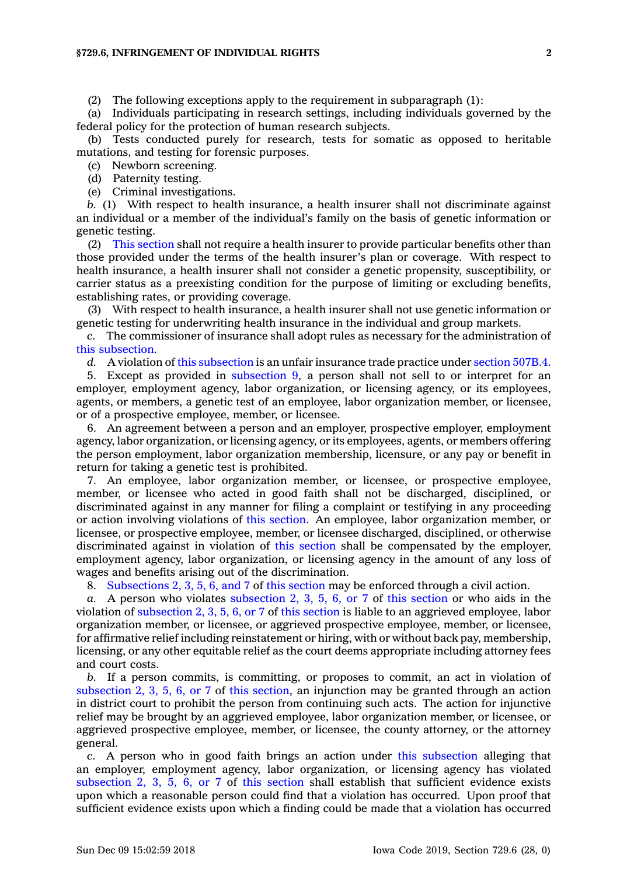(2) The following exceptions apply to the requirement in subparagraph (1):

(a) Individuals participating in research settings, including individuals governed by the federal policy for the protection of human research subjects.

(b) Tests conducted purely for research, tests for somatic as opposed to heritable mutations, and testing for forensic purposes.

(c) Newborn screening.

(d) Paternity testing.

(e) Criminal investigations.

*b.* (1) With respect to health insurance, <sup>a</sup> health insurer shall not discriminate against an individual or <sup>a</sup> member of the individual's family on the basis of genetic information or genetic testing.

(2) This [section](https://www.legis.iowa.gov/docs/code/729.6.pdf) shall not require <sup>a</sup> health insurer to provide particular benefits other than those provided under the terms of the health insurer's plan or coverage. With respect to health insurance, <sup>a</sup> health insurer shall not consider <sup>a</sup> genetic propensity, susceptibility, or carrier status as <sup>a</sup> preexisting condition for the purpose of limiting or excluding benefits, establishing rates, or providing coverage.

(3) With respect to health insurance, <sup>a</sup> health insurer shall not use genetic information or genetic testing for underwriting health insurance in the individual and group markets.

*c.* The commissioner of insurance shall adopt rules as necessary for the administration of this [subsection](https://www.legis.iowa.gov/docs/code/729.6.pdf).

*d.* A violation of this [subsection](https://www.legis.iowa.gov/docs/code/729.6.pdf) is an unfair insurance trade practice under [section](https://www.legis.iowa.gov/docs/code/507B.4.pdf) 507B.4.

5. Except as provided in [subsection](https://www.legis.iowa.gov/docs/code/729.6.pdf) 9, <sup>a</sup> person shall not sell to or interpret for an employer, employment agency, labor organization, or licensing agency, or its employees, agents, or members, <sup>a</sup> genetic test of an employee, labor organization member, or licensee, or of <sup>a</sup> prospective employee, member, or licensee.

6. An agreement between <sup>a</sup> person and an employer, prospective employer, employment agency, labor organization, or licensing agency, or its employees, agents, or members offering the person employment, labor organization membership, licensure, or any pay or benefit in return for taking <sup>a</sup> genetic test is prohibited.

7. An employee, labor organization member, or licensee, or prospective employee, member, or licensee who acted in good faith shall not be discharged, disciplined, or discriminated against in any manner for filing <sup>a</sup> complaint or testifying in any proceeding or action involving violations of this [section](https://www.legis.iowa.gov/docs/code/729.6.pdf). An employee, labor organization member, or licensee, or prospective employee, member, or licensee discharged, disciplined, or otherwise discriminated against in violation of this [section](https://www.legis.iowa.gov/docs/code/729.6.pdf) shall be compensated by the employer, employment agency, labor organization, or licensing agency in the amount of any loss of wages and benefits arising out of the discrimination.

8. [Subsections](https://www.legis.iowa.gov/docs/code/729.6.pdf) 2, 3, 5, 6, and 7 of this [section](https://www.legis.iowa.gov/docs/code/729.6.pdf) may be enforced through <sup>a</sup> civil action.

*a.* A person who violates [subsection](https://www.legis.iowa.gov/docs/code/729.6.pdf) 2, 3, 5, 6, or 7 of this [section](https://www.legis.iowa.gov/docs/code/729.6.pdf) or who aids in the violation of [subsection](https://www.legis.iowa.gov/docs/code/729.6.pdf) 2, 3, 5, 6, or 7 of this [section](https://www.legis.iowa.gov/docs/code/729.6.pdf) is liable to an aggrieved employee, labor organization member, or licensee, or aggrieved prospective employee, member, or licensee, for affirmative relief including reinstatement or hiring, with or without back pay, membership, licensing, or any other equitable relief as the court deems appropriate including attorney fees and court costs.

*b.* If <sup>a</sup> person commits, is committing, or proposes to commit, an act in violation of [subsection](https://www.legis.iowa.gov/docs/code/729.6.pdf) 2, 3, 5, 6, or 7 of this [section](https://www.legis.iowa.gov/docs/code/729.6.pdf), an injunction may be granted through an action in district court to prohibit the person from continuing such acts. The action for injunctive relief may be brought by an aggrieved employee, labor organization member, or licensee, or aggrieved prospective employee, member, or licensee, the county attorney, or the attorney general.

*c.* A person who in good faith brings an action under this [subsection](https://www.legis.iowa.gov/docs/code/729.6.pdf) alleging that an employer, employment agency, labor organization, or licensing agency has violated [subsection](https://www.legis.iowa.gov/docs/code/729.6.pdf) 2, 3, 5, 6, or 7 of this [section](https://www.legis.iowa.gov/docs/code/729.6.pdf) shall establish that sufficient evidence exists upon which <sup>a</sup> reasonable person could find that <sup>a</sup> violation has occurred. Upon proof that sufficient evidence exists upon which <sup>a</sup> finding could be made that <sup>a</sup> violation has occurred